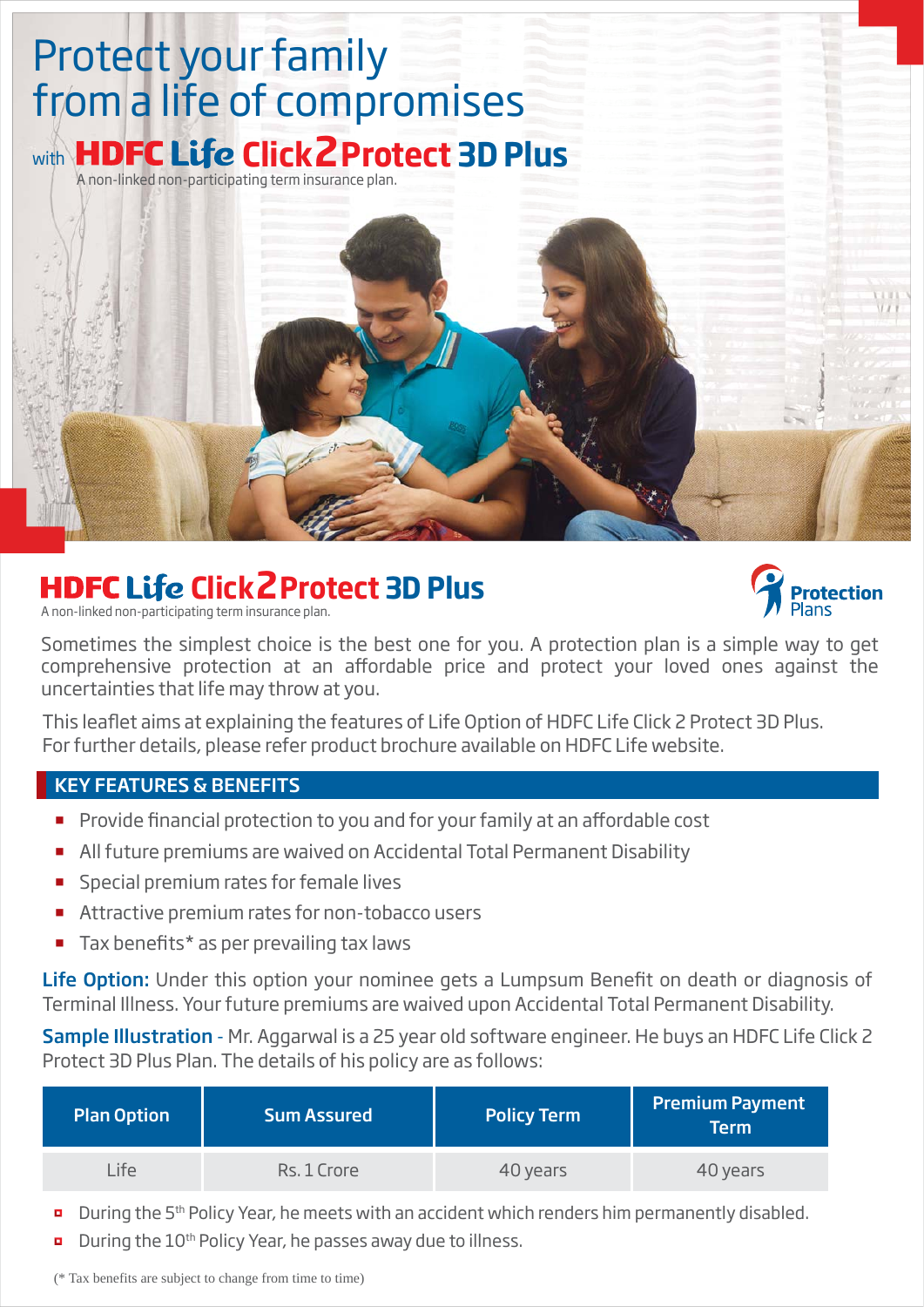# Protect your family from a life of compromises with **HDFC Life Click 2 Protect 3D Plus**

A non-linked non-participating term insurance plan.

# **HDFC Life Click 2 Protect 3D Plus**

A non-linked non-participating term insurance plan.



Sometimes the simplest choice is the best one for you. A protection plan is a simple way to get comprehensive protection at an affordable price and protect your loved ones against the uncertainties that life may throw at you.

This leaflet aims at explaining the features of Life Option of HDFC Life Click 2 Protect 3D Plus. For further details, please refer product brochure available on HDFC Life website.

## KEY FEATURES & BENEFITS

- **Provide financial protection to you and for your family at an affordable cost**
- All future premiums are waived on Accidental Total Permanent Disability
- **Special premium rates for female lives**
- Attractive premium rates for non-tobacco users
- Tax benefits\* as per prevailing tax laws

Life Option: Under this option your nominee gets a Lumpsum Benefit on death or diagnosis of Terminal Illness. Your future premiums are waived upon Accidental Total Permanent Disability.

Sample Illustration - Mr. Aggarwal is a 25 year old software engineer. He buys an HDFC Life Click 2 Protect 3D Plus Plan. The details of his policy are as follows:

| <b>Plan Option</b> | <b>Sum Assured</b> | <b>Policy Term</b> | <b>Premium Payment</b><br>Term |
|--------------------|--------------------|--------------------|--------------------------------|
| Life               | Rs. 1 Crore        | 40 years           | 40 years                       |

- During the 5th Policy Year, he meets with an accident which renders him permanently disabled.  $\blacksquare$
- During the 10<sup>th</sup> Policy Year, he passes away due to illness. ū